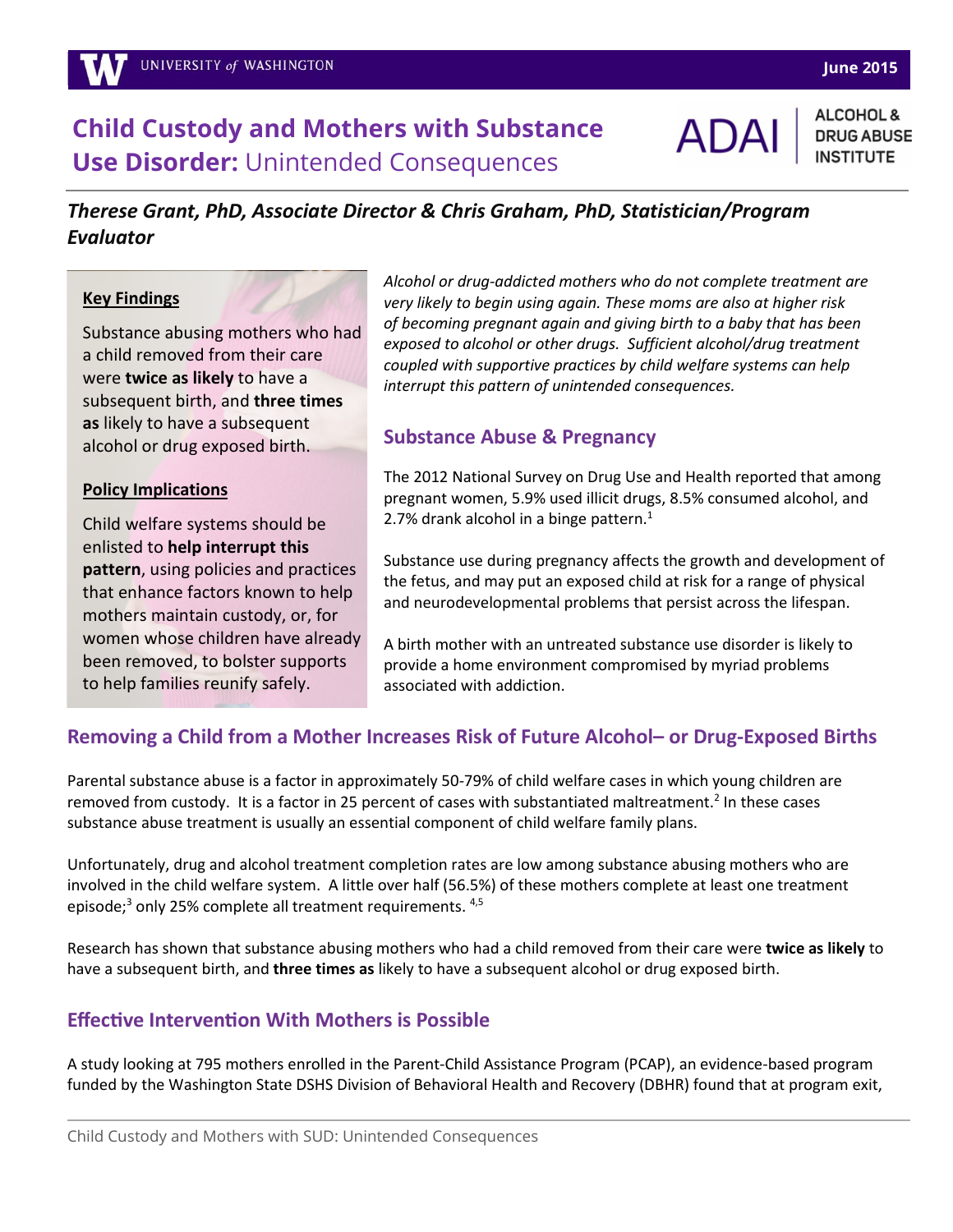### **June 2015**

# **Child Custody and Mothers with Substance Use Disorder:** Unintended Consequences

**ADA** 

ALCOHOL & **DRUG ABUSE** 

# *Therese Grant, PhD, Associate Director & Chris Graham, PhD, Statistician/Program Evaluator*

#### **Key Findings**

 a child removed from their care Substance abusing mothers who had were **twice as likely** to have a subsequent birth, and **three times as** likely to have a subsequent alcohol or drug exposed birth.

#### **Policy Implications**

Child welfare systems should be enlisted to **help interrupt this pattern**, using policies and practices that enhance factors known to help mothers maintain custody, or, for women whose children have already been removed, to bolster supports to help families reunify safely.

*Alcohol or drug-addicted mothers who do not complete treatment are very likely to begin using again. These moms are also at higher risk of becoming pregnant again and giving birth to a baby that has been exposed to alcohol or other drugs. Sufficient alcohol/drug treatment coupled with supportive practices by child welfare systems can help interrupt this pattern of unintended consequences.*

## **Substance Abuse & Pregnancy**

The 2012 National Survey on Drug Use and Health reported that among pregnant women, 5.9% used illicit drugs, 8.5% consumed alcohol, and 2.7% drank alcohol in a binge pattern. $1$ 

Substance use during pregnancy affects the growth and development of the fetus, and may put an exposed child at risk for a range of physical and neurodevelopmental problems that persist across the lifespan.

A birth mother with an untreated substance use disorder is likely to provide a home environment compromised by myriad problems associated with addiction.

# **Removing a Child from a Mother Increases Risk of Future Alcohol– or Drug-Exposed Births**

Parental substance abuse is a factor in approximately 50-79% of child welfare cases in which young children are removed from custody. It is a factor in 25 percent of cases with substantiated maltreatment.<sup>2</sup> In these cases substance abuse treatment is usually an essential component of child welfare family plans.

Unfortunately, drug and alcohol treatment completion rates are low among substance abusing mothers who are involved in the child welfare system. A little over half (56.5%) of these mothers complete at least one treatment episode;<sup>3</sup> only 25% complete all treatment requirements. <sup>4,5</sup>

Research has shown that substance abusing mothers who had a child removed from their care were **twice as likely** to have a subsequent birth, and **three times as** likely to have a subsequent alcohol or drug exposed birth.

## **Effective Intervention With Mothers is Possible**

A study looking at 795 mothers enrolled in the Parent-Child Assistance Program (PCAP), an evidence-based program funded by the Washington State DSHS Division of Behavioral Health and Recovery (DBHR) found that at program exit,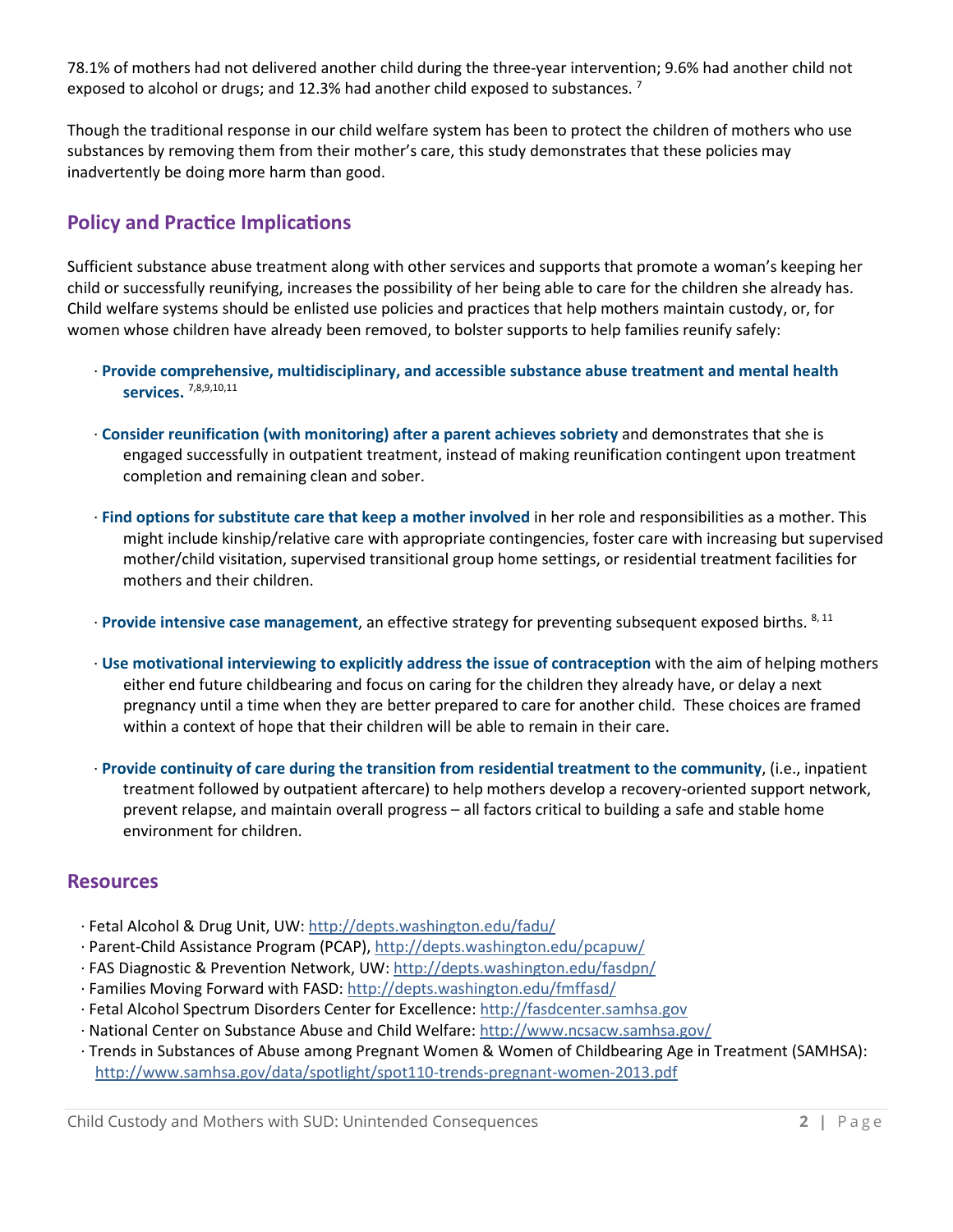78.1% of mothers had not delivered another child during the three-year intervention; 9.6% had another child not exposed to alcohol or drugs; and 12.3% had another child exposed to substances.  $^7$ 

Though the traditional response in our child welfare system has been to protect the children of mothers who use substances by removing them from their mother's care, this study demonstrates that these policies may inadvertently be doing more harm than good.

## **Policy and Practice Implications**

Sufficient substance abuse treatment along with other services and supports that promote a woman's keeping her child or successfully reunifying, increases the possibility of her being able to care for the children she already has. Child welfare systems should be enlisted use policies and practices that help mothers maintain custody, or, for women whose children have already been removed, to bolster supports to help families reunify safely:

- · **Provide comprehensive, multidisciplinary, and accessible substance abuse treatment and mental health services.** 7,8,9,10,11
- · **Consider reunification (with monitoring) after a parent achieves sobriety** and demonstrates that she is engaged successfully in outpatient treatment, instead of making reunification contingent upon treatment completion and remaining clean and sober.
- · **Find options for substitute care that keep a mother involved** in her role and responsibilities as a mother. This might include kinship/relative care with appropriate contingencies, foster care with increasing but supervised mother/child visitation, supervised transitional group home settings, or residential treatment facilities for mothers and their children.
- · **Provide intensive case management**, an effective strategy for preventing subsequent exposed births. 8, 11
- · **Use motivational interviewing to explicitly address the issue of contraception** with the aim of helping mothers either end future childbearing and focus on caring for the children they already have, or delay a next pregnancy until a time when they are better prepared to care for another child. These choices are framed within a context of hope that their children will be able to remain in their care.
- · **Provide continuity of care during the transition from residential treatment to the community**, (i.e., inpatient treatment followed by outpatient aftercare) to help mothers develop a recovery-oriented support network, prevent relapse, and maintain overall progress – all factors critical to building a safe and stable home environment for children.

### **Resources**

- · Fetal Alcohol & Drug Unit, UW:<http://depts.washington.edu/fadu/>
- · Parent-Child Assistance Program (PCAP),<http://depts.washington.edu/pcapuw/>
- · FAS Diagnostic & Prevention Network, UW:<http://depts.washington.edu/fasdpn/>
- · Families Moving Forward with FASD: [http://depts.washington.edu/fmffasd/](http://depts.washington.edu/fmffasd/home)
- · Fetal Alcohol Spectrum Disorders Center for Excellence[: http://fasdcenter.samhsa.gov](http://fasdcenter.samhsa.gov/)
- · National Center on Substance Abuse and Child Welfare:<http://www.ncsacw.samhsa.gov/>
- · Trends in Substances of Abuse among Pregnant Women & Women of Childbearing Age in Treatment (SAMHSA): <http://www.samhsa.gov/data/spotlight/spot110-trends-pregnant-women-2013.pdf>